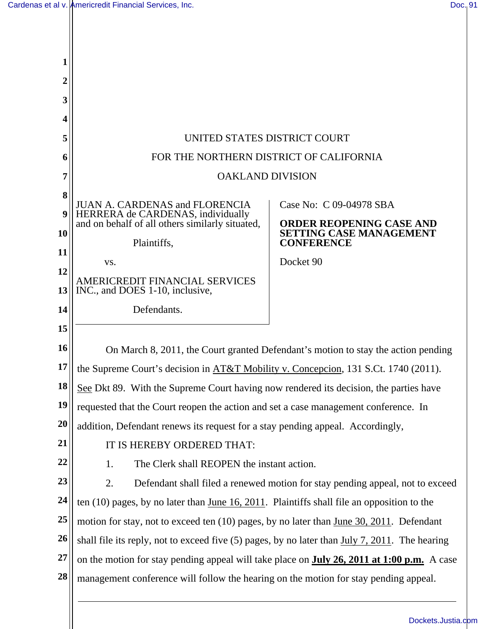Н

| 1              |                                                                                                   |                                                     |
|----------------|---------------------------------------------------------------------------------------------------|-----------------------------------------------------|
| $\overline{2}$ |                                                                                                   |                                                     |
| 3              |                                                                                                   |                                                     |
| 4              |                                                                                                   |                                                     |
| 5              | UNITED STATES DISTRICT COURT                                                                      |                                                     |
| 6              | FOR THE NORTHERN DISTRICT OF CALIFORNIA                                                           |                                                     |
| 7              | <b>OAKLAND DIVISION</b>                                                                           |                                                     |
| 8              | <b>JUAN A. CARDENAS and FLORENCIA</b><br>Case No: C 09-04978 SBA                                  |                                                     |
| 9              | HERRERA de CARDENAS, individually<br>and on behalf of all others similarly situated,              | <b>ORDER REOPENING CASE AND</b>                     |
| 10             | Plaintiffs,                                                                                       | <b>SETTING CASE MANAGEMENT</b><br><b>CONFERENCE</b> |
| 11             | VS.                                                                                               | Docket 90                                           |
| 12             |                                                                                                   |                                                     |
| 13             | AMERICREDIT FINANCIAL SERVICES<br>INC., and DOES 1-10, inclusive,                                 |                                                     |
| 14             | Defendants.                                                                                       |                                                     |
| 15             |                                                                                                   |                                                     |
| 16             | On March 8, 2011, the Court granted Defendant's motion to stay the action pending                 |                                                     |
| 17             | the Supreme Court's decision in AT&T Mobility v. Concepcion, 131 S.Ct. 1740 (2011).               |                                                     |
| 18             | See Dkt 89. With the Supreme Court having now rendered its decision, the parties have             |                                                     |
| 19             | requested that the Court reopen the action and set a case management conference. In               |                                                     |
| 20             | addition, Defendant renews its request for a stay pending appeal. Accordingly,                    |                                                     |
| 21             | IT IS HEREBY ORDERED THAT:                                                                        |                                                     |
| 22             | The Clerk shall REOPEN the instant action.<br>1.                                                  |                                                     |
| 23             | 2.<br>Defendant shall filed a renewed motion for stay pending appeal, not to exceed               |                                                     |
| 24             | ten $(10)$ pages, by no later than June 16, 2011. Plaintiffs shall file an opposition to the      |                                                     |
| 25             | motion for stay, not to exceed ten $(10)$ pages, by no later than June 30, 2011. Defendant        |                                                     |
| 26             | shall file its reply, not to exceed five $(5)$ pages, by no later than July 7, 2011. The hearing  |                                                     |
| 27             | on the motion for stay pending appeal will take place on <b>July 26, 2011 at 1:00 p.m.</b> A case |                                                     |
| 28             | management conference will follow the hearing on the motion for stay pending appeal.              |                                                     |
|                |                                                                                                   |                                                     |